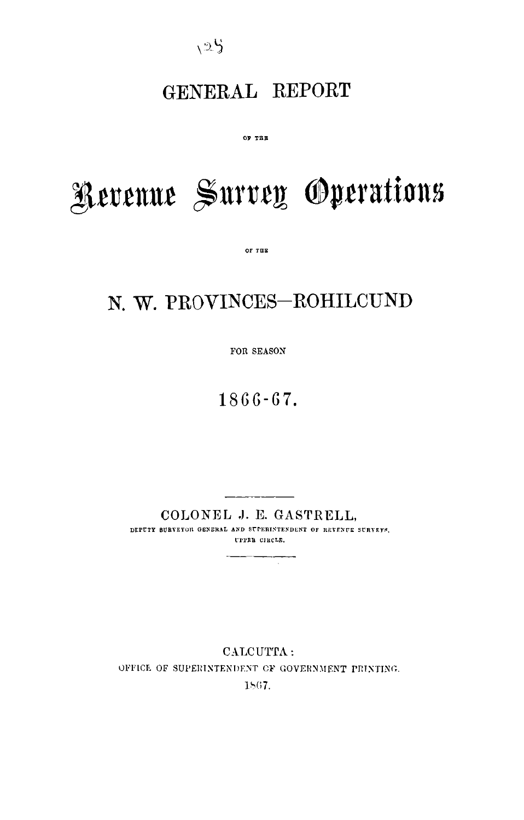$125$ 

# GENERAL REPORT

OF THE

# Revenue Survey Operations

 $OF$   $T$  $B$  $E$ 

# N. W. PROVINCES-ROHILCUND

FOR SEASON

 $1866 - 67.$ 

COLONEL J. E. GASTRELL, DEPUTY SURVEYON GENERAL AND SUPERINTENDENT OF REVENUE SURVEYS, ГРРЕВ СИССЕ.

 $\sim$ 

CALCUTTA: OFFICE OF SUPERINTENDENT OF GOVERNMENT PRINTING. 1867.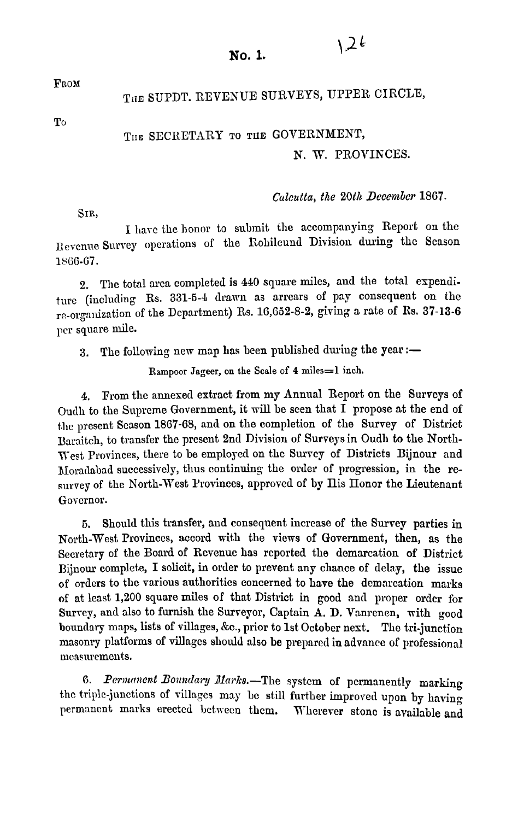FROM

# THE SUPDT. REVENUE SURVEYS, UPPER CIRCLE.

To

# THE SECRETARY TO **TUE** GOVERNMENT,

### N. W. PROVINCES.

#### Calcutta, the 20th December 1867.

SIR,

I have the honor to submit the accompanying Report on the Revenue Survey operations of the Rohilcund Division during the Season **lb(iG-G7.** 

2. The total area completed is 440 square miles, and the total espenditure (including Rs. 331-5-4 drawn as arrears of pay consequent on the rr-orgallisation of the Department) Rs. 16,652-8-2, giving a rate of Bs. **37-13-6**  per square mile.

3. The following new map has been published during the year :-

Rampoor **Jageer, on the Scale of 4 miles=l inch.** 

**4.** From the annexed extract from my Annual Report on the Surveys of oudh to the Suprcme Government, it will be seen that I propose at the end of the present Scason 1867-68, and on the completion of the Survey of District Baraitch, to transfer the present 2nd Division of Surveys in Oudh to the North-West Provinces, there to be employed on the Survey of Districts Bijnour and JIoradabad successively, thus continuing the order of progression, in the resurvey of the North-West Provinces, approved of by His Honor the Lieutenant Governor.

**5.** Should this transfer, and consequcnt increase of the **Survey** parties **in**  North-West Provinces, accord with the views of Government, then, as the Secretary of the Board of Revenue has reported the demarcation of District Bijnow complete, I solicit, in order to prevent any chance of delay, the issue of orders to the various authorities concerned to have **tho** demarcation marks of at lcast 1,200 square miles of that District in good and proper ordcr for Survey, and also to furnish the Surveyor, Captain A. D. Vanrenen, with good boundary maps, lists of villages, kc., prior to 1st October next. Thc tri-junction masonry platforms of villages should also **be** prepared in advance of professional measurements.

6. Permanent Boundary Marks.-The system of permanently marking the triple-junctions of villages may be still further improved upon by having nermancnt marks erected between them. Wherever stone is available and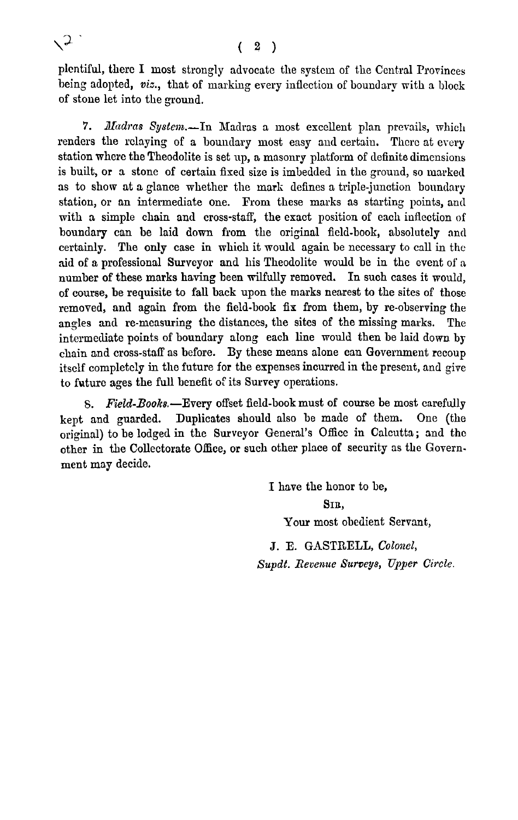plentiful, there I most strongly advocate the system of the Central Provinces being adopted, viz., that of marking every inflection of boundary with a block of stone let into the ground.

7. Madras System.-In Madras a most excellent plan prevails, which renders the relaying of a boundary most easy and certain. There at every station where the Theodolite is set up, a masonry platform of definite dimensions is built, or a stone of certain fixed size is imbedded in the ground, so marked as to show at a glance whether the mark defines a triple-junction boundary station, or an intermediate one. From these marks as starting points, and with a simple chain and cross-staff, the exact position of each inflection of boundary can be laid down from the original ficld-book, absolutely and certainly. The only case in which it would again be nccessary to call in the aid of a professional Surveyor and his Theodolite mould be in the event of a number of these marks having been wilfully removed. In such cases it mould, of course, be requisite to fall back upon the marks nearest to the sites of those removed, and again from the field-book **fix** from them, by re-observing the angles and re-measuring the distances, the sites of the missing marks. The intermediate points of boundary along each line would then be laid down by chain and cross-staff as before. By these means alone can Government recoup itself completely in the future for the expenses incurred in the present, and give to future ages the full benefit of its Survey operations.

8. Field-Books.-Every offset field-book must of course be most carefully kept and guarded. Duplicates should also be made of them. One (the original) to be lodged in the Surveyor General's Office in Calcutta; and the other in the Collectorate Office, or such other place of security as the Government may decide.

> I have the honor to be, **QIE,**  Your most obedient Servant, J. E. GASTRELL, Colonel, Supdt. Revenue Surveys, Upper Circle.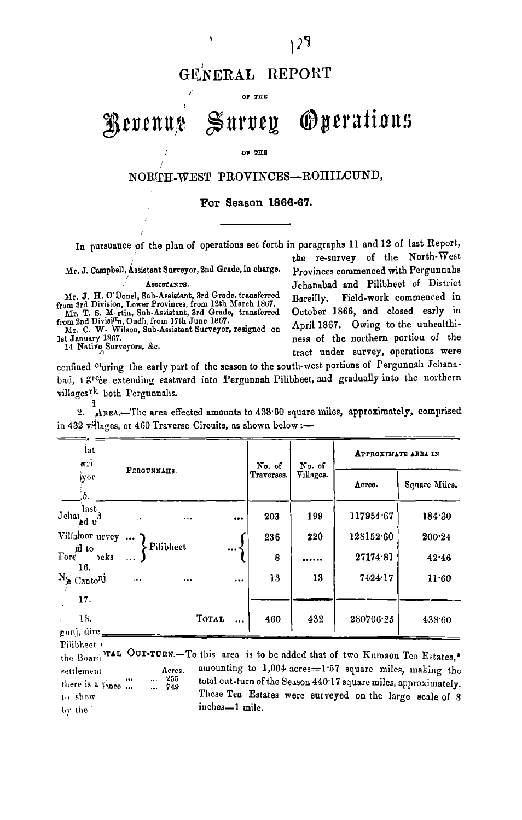# GENERAL REPORT

 $OP$  THE

#### **Oyerations**  $\mathbb S$ urvey Revenus

#### OF THE

# NORTH-WEST PROVINCES-ROHILCUND,

#### **For Season 1866-67.**

In pursuance of the plan of operations set forth in paragraphs 11 and 12 of last Report,

Mr. J. Campbell, Assistant Surveyor, 2nd Grade, in charge.

Mr. J. H. O'Donel, Sub-Assistant, 3rd Grade, transferred Bareilly. from 3rd Division, Lower Provinces, from 12th March 1867. <br>Mr. T. S. M. rtin, Sub-Assistant, 3rd Grade, transferred October 1866, and closed early in<br>from 2nd Divisi<sup>n</sup>n, Oudh, from 17th June 1867. .

the re-survey of the North-West<br>Provinces commenced with Pergunnahs ASSISTANTS.<br>Sub-Assistant, 3rd Grade, transferred Bareilly. Field-work commenced in from 2nd Divisi<sup>11</sup>n, Oudh, from 17th June 1867.<br>
Mr. C. W. Wilson, Sub-Assistant Surveyor, resigned on April 1867. Owing to the unhealthi-<br>
1st January 1867. 1st January 1867.<br>
14 Native Surveyors, &c.<br>
14 Native Surveyors, &c. tract under survey, operations mere

confined oruring the early part of the season to the south-west portions of Pergunnah Jehanabad, 1.<sup>gre</sup>ce extending eastward into Pergunnah Pilibheet, and gradually into the northern villages<sup>rk</sup> both Pergunnahs.

| lat<br>WTE.                            |             |           |          | No. of     | No. of    | <b>APPROXIMATE ARBA IN</b> |               |  |
|----------------------------------------|-------------|-----------|----------|------------|-----------|----------------------------|---------------|--|
| іуог<br>5.                             | Ревопимана. |           |          | Traverses. | Villages. | Астев.                     | Square Miles. |  |
| last<br>Jehar<br>ed u`                 |             | $\ddotsc$ | $\cdots$ | 203        | 199       | 117954.67                  | 184.30        |  |
| Villakoor urvey                        |             |           |          | 236        | 220       | 128152.60                  | 200.24        |  |
| id to<br>Fore<br>$\n  o$ ks            | Pilibhect   |           |          | 8          |           | 27174.81                   | 42.46         |  |
| 16.<br>$N_{\rm e}$ Canto <sup>nj</sup> |             | $\ddotsc$ | $\cdots$ | 13         | 13        | 7424.17                    | 11.60         |  |
| 17.                                    |             |           |          |            |           |                            |               |  |
| 18.<br>gunj, dire_                     |             | TOTAL     |          | 460        | 432       | 280706.25                  | 438.60        |  |

~ettlelnrnt A~~~~, aruounting to 1,004 acres=l.57 square miles, mnking thc ..... total out-turn of the Season 440.17 squarc miles, approximately. there **is** a &PC ...... to show These Tea Estates were surveyed on the large scale of **S**  $\text{for the}$  ' inches=1 mile. the Board Tal OUT-TURN.-To this area is to be added that of two Kumaon Tea Estates.\*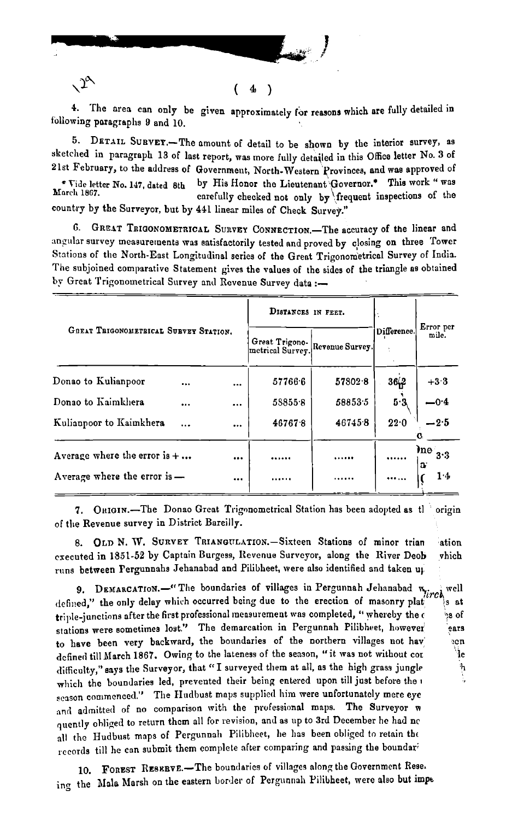

4. The area can only be given approximately for reasons which are fully detailed in following paragraphs 9 and 10.

(  $\boldsymbol{4}$  $\rightarrow$ 

5. DETAIL SURVET.- The amount of detail to be shown by the interior survey, as sketched in paragraph 13 of last report, was more fully detailed in this Office letter No. 3 of 21st February, to the address of Government, North-Western Provinces, and was approved of by His Honor the Lieutenant Governor.\* This work " was \* Vide letter No. 147, dated 8th March 1867. carefully checked not only by frequent inspections of the country by the Surveyor, but by 441 linear miles of Check Survey."

6. GREAT TRIGONOMETRICAL SURVEY CONNECTION. The accuracy of the linear and angular survey measurements was satisfactorily tested and proved by closing on three Tower Stations of the North-East Longitudinal series of the Great Trigonometrical Survey of India. The subjoined comparative Statement gives the values of the sides of the triangle as obtained by Great Trigonometrical Survey and Revenue Survey data :-

|                                       | DISTANCES IN FEET. |          |                                    |                 |             |                            |
|---------------------------------------|--------------------|----------|------------------------------------|-----------------|-------------|----------------------------|
| GREAT TRIGONOMETRICAL SURVEY STATION. |                    |          | Great Trigono-<br>metrical Survey. | Revenue Survey. | Difference. | Error per<br>mile.         |
| Donao to Kulianpoor                   |                    |          | 57766.6                            | 57802.8         | 36,2        | $+33$                      |
| Donao to Kaimkhera                    | $\cdots$           | $\cdots$ | 588558                             | 58853.5         | 5.3         | $-0.4$                     |
| Kulianpoor to Kaimkhera               | $\cdots$           | $\cdots$ | 467678                             | 467458          | 22.0        | $-2.5$                     |
| Average where the error is $+ \ldots$ |                    |          |                                    | .               |             | $\ln e_{3 \cdot 3}$<br>IJ. |
| Average where the error is -          |                    |          |                                    |                 |             | 1.4                        |

ORIGIN.-The Donao Great Trigonometrical Station has been adopted as the origin 7. of the Revenue survey in District Bareilly.

8. OLD N. W. SURVEY TRIANGULATION.-Sixteen Stations of minor trian ation executed in 1851-52 by Captain Burgess, Revenue Surveyor, along the River Deob vhich runs between Pergunnahs Jehanabad and Pilibheet, were also identified and taken up

DEMARCATION. - "The boundaries of villages in Pergunnah Jehanabad  $w_{\text{circle}}$ well 9. defined," the only delay which occurred being due to the erection of masonry plat s at triple-junctions after the first professional measurement was completed, "whereby the c ်ဒ of stations were sometimes lost." The demarcation in Pergunnah Pilibheet, however ears to have been very backward, the boundaries of the northern villages not hav ecn defined till March 1867. Owing to the lateness of the season, "it was not without cor Чe difficulty," says the Surveyor, that "I surveyed them at all, as the high grass jungle which the boundaries led, prevented their being entered upon till just before the season commenced." The Hudbust maps supplied him were unfortunately mere eye and admitted of no comparison with the professional maps. The Surveyor w quently obliged to return them all for revision, and as up to 3rd December he had no all the Hudbust maps of Pergunnah Pilibheet, he has been obliged to retain the records till he can submit them complete after comparing and passing the boundari

ħ

FOREST RESERVE.-The boundaries of villages along the Government Rese. ing the Mala Marsh on the eastern border of Pergunnah Pilibheet, were also but impe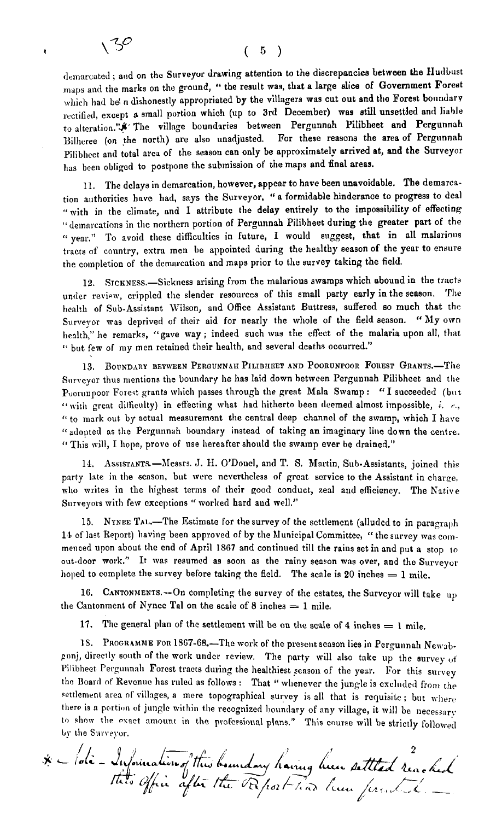ł

demarcated ; and on the Surveyor drawing attention to the discrepancies between the Hudbust maps and the marks on the ground, " the result was, that a large slice of Government Forest which had be n dishonestly appropriated by the villagers was cut out and the Forest boundary rectified, except a small portion which (up to 3rd December) was still unsettled and liable to alteration."\* The village boundaries between Pergunnah Pilibheet and Pergunnah Bilhcree (on the north) are also unadjusted. For these reasons the area of Pergunnah Pilibheet and total area of the season can only be approximately arrived at, and the Surveyor has been obliged to postpone the submission of the maps and final areas.

11. The delays in dcmareation, however, appear to have been unavoidable. **The** demarcation authorities hnvc had, says the Surveyor. "a formidable hinderance to progress to deal "with in the climate, and I attributc the delay entirely to the impossibility of effecting **'I** demarcations in the northern portion of Pergunnah Pilibheet during the greater part of the " year." To avoid these difficulties in future, I would suggest, that in all malarious tracts of conntry, extra men be appointed during the healthy season of the year to ensure the completion of the demarcation and maps prior to the survey taking the field.

**12.** SICKNESS.-Sickness arising from the malarious swamps which abound in the tracts under review, crippled the slender resources of this small party early in the season. The health of Sub-Assistant \Vilson, and Office Assistant Buttress, suffered so much that the Surveyor mas deprived of their aid for nearly the whole of the field season. **"My** own health," he remarks, "gave way; indeed such was the cffect of the malaria upon all, that '' but few of my men retained their health, and several deaths occurred."

13. BOUNDARY BETWEEN PERGUNNAH PILIBHEET AND POORUNPOOR FOREST GRANTS.-The Surveyor thus mentions the boundary he has laid down between Pergunnah Pilibheet and the Poorunpoor Forest grants which passes through the great Mala Swamp: "I succeeded (but  $\alpha$  with great difficulty) in effecting what had hitherto been deemed almost impossible, *i.*  $\epsilon$ , " to mark out by actual measurerncnt the central deep channel of the swamp, which I have " adopted as the Pergunnah boundary instead of taking an imaginary line down the centre. **'1** This vill, I hope, provc of use hereafter should the swamp ever be drained."

14. Assistants-Messrs. J. H. O'Douel, and T. S. Martin, Sub-Assistants, joined this party late in the season, but were nevertheless of great service to the Assistant in charce. who writes in the highest terms of their good conduct, zeal and efficiency. The Native Surveyors with few exceptions " worked hard and well."

15. NYNEE TAL.-The Estimate for the survey of the settlement (alluded to in paragraph **14** of last Report) having been approved of by the hlunicipal Committee, " the survey wag coinmenced upon about the end of April 1867 and continued till the rains set in and put a stop to out-door work." It was resumed as soon as the rainy season was over, and the Surveyor hoped to complete the survey before taking the field. The scale is 20 inches = 1 mile.

16. CANTONMENTS.--On completing the survey of the estates, the Surveyor will take up the Cantonment of Nynee Tal on the scale of  $8$  inches  $= 1$  mile.

17. The general plan of the settlement will be on the scale of 4 inches  $= 1$  mile.

18. PROGRAMME FOR 1867-68.-The work of the present season lies in Pergunnah Newabeunj, directly south of the work under review. The party will also take up the survey of Pilibheet Pergunnah Forcst tracts during the healthiest season of the year. For this survey the Board of Revenue has ruled as follows : That " whenever the jungle is excluded from the settlement area of villages, a mere topographical survey is all that is requisite; but where there is a portion of jungle within the recognized boundary of any village, it will be necessary to show the exact amount in the professional plans." This course will be strictly followed **L!.** the Sur~eyor. there is a portion of jungle within the recognized boundary of any village, it will be 1<br>to show the exact amount in the professional plans." This course will be strictly<br>by the Surveyor.

".<br>founding" this boundary having live settled reached<br>" Office after the Report has hear ferential.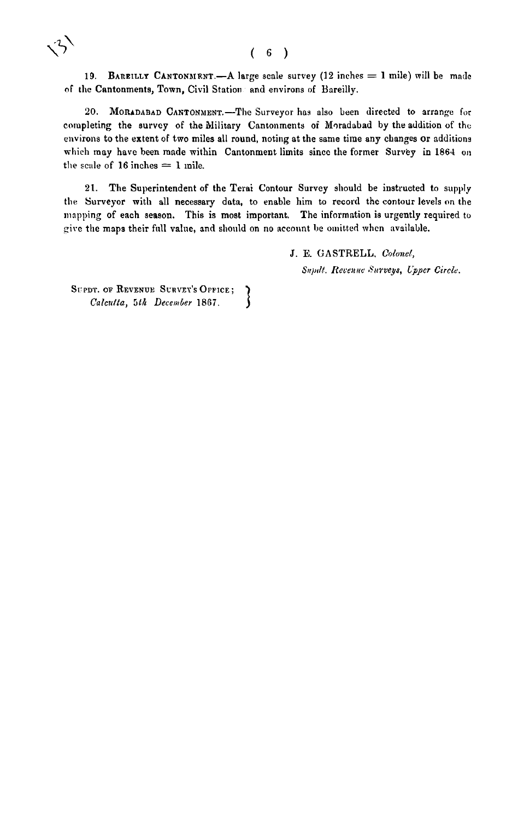#### $(6)$

19. **BAREILLY CANTONMENT.**—A large scale survey  $(12 \text{ inches} = 1 \text{ mile})$  will be made of the Cantonments, Town, Civil Station and environs of Bareilly.

20. MORADABAD CANTONMENT.-The Surveyor has also been directed to arrange for completing the survey of the Military Cantonments of Moradabad by the addition of the environs to the extent of two miles all round, noting at the same time any changes or additions which may have been made within Cantonment limits since the former Survey in 1864 on the scale of  $16$  inches  $= 1$  mile.

**21.** The Superintendent of the Terai Contour Survey sliould be instructed to supply the Surveyor with all necessary data, to enable him to record the contour levels on the mapping of each season. This is most important. The information is urgently required to give the maps their full value, and should on no account be omitted when available.

J. E. GASTRELL. *Colunel,* 

 $S$ <sup>n</sup>pdt. Revenue Surveys, Upper Circle.

SUPDT. OF REVENUE SURVEY'S OFFICE; } Calcutta, 5th December 1867.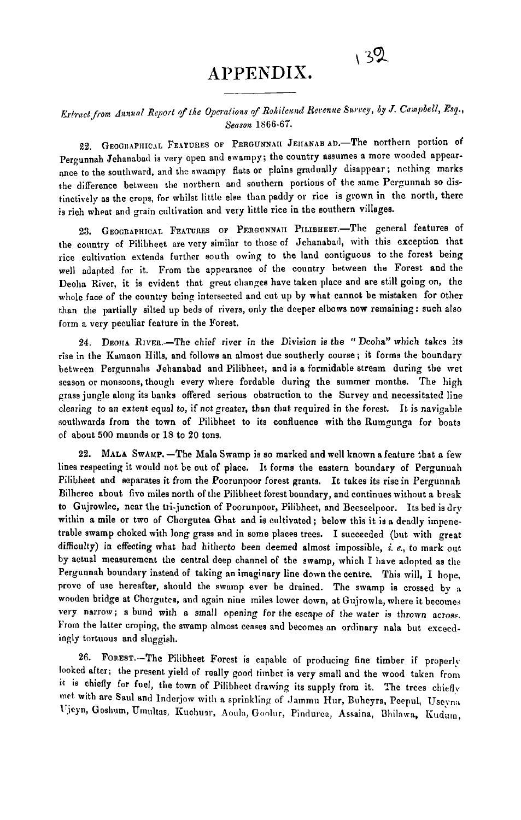# APPENDIX.

 $132$ 

## *Edvact f,.orn ri~nirnl Report cyfire Opmalions* qf *Rohilc~~~~d tlecenae* **S.urcqey, by** *J. Cninpbell,* **Esp.,**  *Season* **1566-67.**

22. GEOGRAPHICAL FEATURES OF PERGUNNAII JEHANAB AD.-The northern portion of Pergunnah Jehanabad is very open and swampy; the country assumes a more wooded appear ance to the southward, and the swampy flats or plains gradually disappear; ncthing marks the difference between the northern and southern portions of the same Perpunnah so distinctively as the crops, for whilst little else than paddy or rice is grown in the north, there is rich wheat and grain cultivation and very little rice in the southern villages.

23. GEOGRAPHICAL FEATURES OF PERGUNNAII PILIBHEET.-The general features of the country of Pilibheet are very similar to those of Jehanabacl, with this exception that rice cultivation extends further south owing to the land contiguous to the forest being well adapted for it. From the appearance of the country between the Forest and the Deoha River, it is evident that great changes have taken place and are still going on, the whole face of the country being intersected and cut up by what cannot be mistaken for other than the partially silted up beds of rivers, only the deeper elbows now remaining: such also form a very peculiar feature in the Forest.

24. DEOHA RIVER.-The chief river in the Division is the " Deoha" which takes its rise in the Kumaon Hills, and follows an almost due southerly course; it forms the boundary between Pergunnahs Jehanabad and Pilibheet, and is a formidable stream during the met season or monsoons, though every where fordable during the summer months. The high grass jungle along its banks offered serious obstruction to the Survey and necessitated line clearing to an extent equal to, if not greater, than that required in the forest. It is navigable soutliwnrds from the town of Pilibheet to its confluence with the Rumgunga for boats of about 500 rnaunds or **18** to 20 tons.

22. MALA SwAMP. -The Mala Swamp is so marked and well known a feature that a few lines respecting it would not be out of place. It forms the eastern boundary of Pergunnah Pilibheet and separates it from the Poorunpoor forest grants. It takes its rise in Pergunnah Bilheree about five miles north of the Pilibheet forest boundary, and continues without a break to Gujrowlee, near the tri-junction of Poorunpoor, Pilibheet, and Beeseelpoor. Its bed is dry within a mile or two of Chorgutea Ghat and is cultivated; below this it is a deadly impenetrable swamp choked with long grass and in some places trees. I succeeded (but with great difficulty) in effecting what had hitherto been deemed almost impossible, i. e., to mark out by actual measurement the central deep channel of the swamp, which I have adopted as the Pergunnah boundary instend of taking an imaginary line down the centre. This will, I hope, prove of use hereafter, should the swamp ever be drained. The swamp is crossed by a wooden bridge at Chorgutea, and again nine miles lower down, at Gujrowla, where it becomes very narrow; a bund with a small opening for the escape of the water is thrown across. From the latter croping, the swamp almost censes and becomes an ordinary nala but exceedingly tortuous and slnggish.

26. FOREST.-The Pilibheet Forest is capable of producing fine timber if properly looked after; the present yield of really good timber is very small and the mood taken from **it** is chiefly for fuel, tlie town of Pilibhcet drawing its supply from it. The trees chiefly met with are Saul and Inderjow with a sprinkling of Jammu Hur, Buheyra, Peepul, Useyna Ujeyn, Goshum, Umultas, Kuchuar, Aoula, Goolur, Pindurca, Assaina, Bhilawa, Kudum,